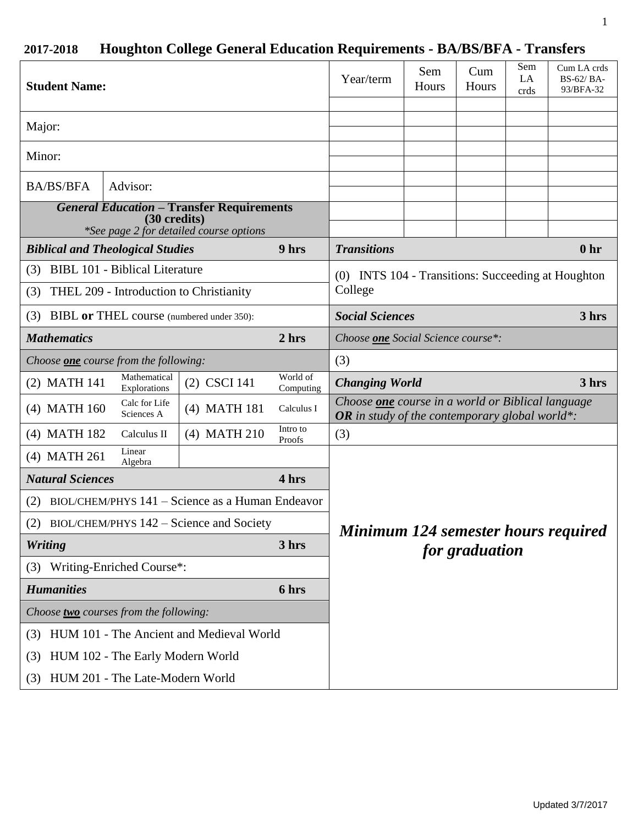# **2017-2018 Houghton College General Education Requirements - BA/BS/BFA - Transfers**

| <b>Student Name:</b>                                                                                        |                                         |                                                  |                       | Year/term                                                                                                         | Sem<br>Hours | Cum<br>Hours   | Sem<br>LA<br>crds | Cum LA crds<br>BS-62/BA-<br>93/BFA-32 |
|-------------------------------------------------------------------------------------------------------------|-----------------------------------------|--------------------------------------------------|-----------------------|-------------------------------------------------------------------------------------------------------------------|--------------|----------------|-------------------|---------------------------------------|
| Major:                                                                                                      |                                         |                                                  |                       |                                                                                                                   |              |                |                   |                                       |
| Minor:                                                                                                      |                                         |                                                  |                       |                                                                                                                   |              |                |                   |                                       |
| <b>BA/BS/BFA</b>                                                                                            | Advisor:                                |                                                  |                       |                                                                                                                   |              |                |                   |                                       |
| <b>General Education - Transfer Requirements</b><br>(30 credits)<br>*See page 2 for detailed course options |                                         |                                                  |                       |                                                                                                                   |              |                |                   |                                       |
| <b>Biblical and Theological Studies</b>                                                                     |                                         |                                                  | 9 hrs                 | <b>Transitions</b><br>0 <sub>hr</sub>                                                                             |              |                |                   |                                       |
| (3)                                                                                                         | <b>BIBL 101 - Biblical Literature</b>   |                                                  |                       | (0) INTS 104 - Transitions: Succeeding at Houghton                                                                |              |                |                   |                                       |
| (3)                                                                                                         | THEL 209 - Introduction to Christianity |                                                  |                       | College                                                                                                           |              |                |                   |                                       |
| (3) BIBL or THEL course (numbered under 350):                                                               |                                         |                                                  |                       | <b>Social Sciences</b><br>3 hrs                                                                                   |              |                |                   |                                       |
| <b>Mathematics</b>                                                                                          |                                         |                                                  | 2 hrs                 | Choose one Social Science course*:                                                                                |              |                |                   |                                       |
| Choose <b>one</b> course from the following:                                                                |                                         |                                                  | (3)                   |                                                                                                                   |              |                |                   |                                       |
| (2) MATH 141                                                                                                | Mathematical<br>Explorations            | (2) CSCI 141                                     | World of<br>Computing | <b>Changing World</b>                                                                                             |              |                |                   | 3 hrs                                 |
| (4) MATH 160                                                                                                | Calc for Life<br>Sciences A             | (4) MATH 181                                     | Calculus I            | Choose <b>one</b> course in a world or Biblical language<br><b>OR</b> in study of the contemporary global world*: |              |                |                   |                                       |
|                                                                                                             |                                         | $(4)$ MATH 210                                   | Intro to<br>Proofs    | (3)                                                                                                               |              |                |                   |                                       |
| (4) MATH 182                                                                                                | Calculus II                             |                                                  |                       |                                                                                                                   |              |                |                   |                                       |
| (4) MATH 261                                                                                                | Linear<br>Algebra                       |                                                  |                       |                                                                                                                   |              |                |                   |                                       |
| <b>Natural Sciences</b>                                                                                     |                                         |                                                  | 4 hrs                 |                                                                                                                   |              |                |                   |                                       |
| (2)                                                                                                         |                                         | BIOL/CHEM/PHYS 141 - Science as a Human Endeavor |                       |                                                                                                                   |              |                |                   |                                       |
|                                                                                                             |                                         | (2) BIOL/CHEM/PHYS 142 – Science and Society     |                       |                                                                                                                   |              |                |                   |                                       |
| <b>Writing</b>                                                                                              |                                         |                                                  | 3 hrs                 | Minimum 124 semester hours required                                                                               |              |                |                   |                                       |
| (3)                                                                                                         | Writing-Enriched Course*:               |                                                  |                       |                                                                                                                   |              | for graduation |                   |                                       |
| <b>Humanities</b>                                                                                           |                                         |                                                  | 6 hrs                 |                                                                                                                   |              |                |                   |                                       |
| Choose two courses from the following:                                                                      |                                         |                                                  |                       |                                                                                                                   |              |                |                   |                                       |
| (3)                                                                                                         |                                         | HUM 101 - The Ancient and Medieval World         |                       |                                                                                                                   |              |                |                   |                                       |
| (3)                                                                                                         | HUM 102 - The Early Modern World        |                                                  |                       |                                                                                                                   |              |                |                   |                                       |